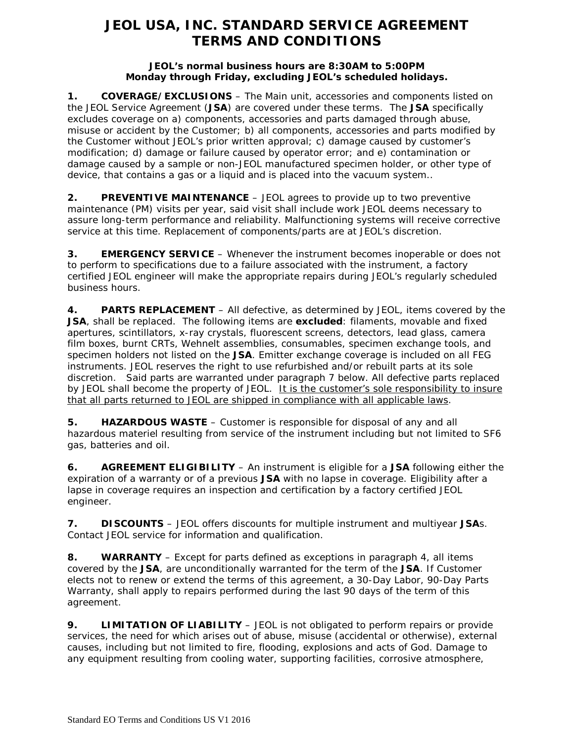# **JEOL USA, INC. STANDARD SERVICE AGREEMENT TERMS AND CONDITIONS**

### **JEOL's normal business hours are 8:30AM to 5:00PM Monday through Friday, excluding JEOL's scheduled holidays.**

**1. COVERAGE/EXCLUSIONS** – The Main unit, accessories and components listed on the JEOL Service Agreement (**JSA**) are covered under these terms. The **JSA** specifically excludes coverage on a) components, accessories and parts damaged through abuse, misuse or accident by the Customer; b) all components, accessories and parts modified by the Customer without JEOL's prior written approval; c) damage caused by customer's modification; d) damage or failure caused by operator error; and e) contamination or damage caused by a sample or non-JEOL manufactured specimen holder, or other type of device, that contains a gas or a liquid and is placed into the vacuum system..

**2. PREVENTIVE MAINTENANCE** – JEOL agrees to provide up to two preventive maintenance (PM) visits per year, said visit shall include work JEOL deems necessary to assure long-term performance and reliability. Malfunctioning systems will receive corrective service at this time. Replacement of components/parts are at JEOL's discretion.

**3. EMERGENCY SERVICE** – Whenever the instrument becomes inoperable or does not to perform to specifications due to a failure associated with the instrument, a factory certified JEOL engineer will make the appropriate repairs during JEOL's regularly scheduled business hours.

**4. PARTS REPLACEMENT** – All defective, as determined by JEOL, items covered by the **JSA**, shall be replaced. The following items are **excluded**: filaments, movable and fixed apertures, scintillators, x-ray crystals, fluorescent screens, detectors, lead glass, camera film boxes, burnt CRTs, Wehnelt assemblies, consumables, specimen exchange tools, and specimen holders not listed on the **JSA**. Emitter exchange coverage is included on all FEG instruments. JEOL reserves the right to use refurbished and/or rebuilt parts at its sole discretion. Said parts are warranted under paragraph 7 below. All defective parts replaced by JEOL shall become the property of JEOL. It is the customer's sole responsibility to insure that all parts returned to JEOL are shipped in compliance with all applicable laws.

**5. HAZARDOUS WASTE** – Customer is responsible for disposal of any and all hazardous materiel resulting from service of the instrument including but not limited to SF6 gas, batteries and oil.

**6. AGREEMENT ELIGIBILITY** – An instrument is eligible for a **JSA** following either the expiration of a warranty or of a previous **JSA** with no lapse in coverage. Eligibility after a lapse in coverage requires an inspection and certification by a factory certified JEOL engineer.

**7. DISCOUNTS** – JEOL offers discounts for multiple instrument and multiyear **JSA**s. Contact JEOL service for information and qualification.

**8. WARRANTY** – Except for parts defined as exceptions in paragraph 4, all items covered by the **JSA**, are unconditionally warranted for the term of the **JSA**. If Customer elects not to renew or extend the terms of this agreement, a 30-Day Labor, 90-Day Parts Warranty, shall apply to repairs performed during the last 90 days of the term of this agreement.

**9. LIMITATION OF LIABILITY** – JEOL is not obligated to perform repairs or provide services, the need for which arises out of abuse, misuse (accidental or otherwise), external causes, including but not limited to fire, flooding, explosions and acts of God. Damage to any equipment resulting from cooling water, supporting facilities, corrosive atmosphere,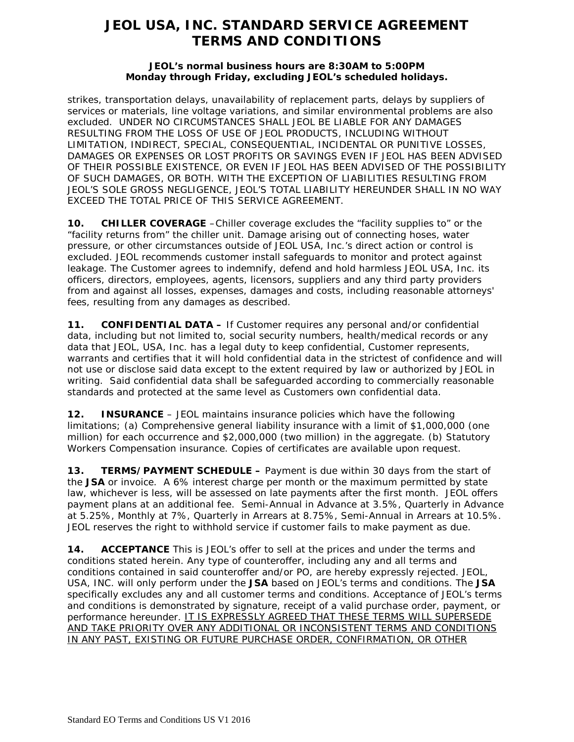## **JEOL USA, INC. STANDARD SERVICE AGREEMENT TERMS AND CONDITIONS**

### **JEOL's normal business hours are 8:30AM to 5:00PM Monday through Friday, excluding JEOL's scheduled holidays.**

strikes, transportation delays, unavailability of replacement parts, delays by suppliers of services or materials, line voltage variations, and similar environmental problems are also excluded. UNDER NO CIRCUMSTANCES SHALL JEOL BE LIABLE FOR ANY DAMAGES RESULTING FROM THE LOSS OF USE OF JEOL PRODUCTS, INCLUDING WITHOUT LIMITATION, INDIRECT, SPECIAL, CONSEQUENTIAL, INCIDENTAL OR PUNITIVE LOSSES, DAMAGES OR EXPENSES OR LOST PROFITS OR SAVINGS EVEN IF JEOL HAS BEEN ADVISED OF THEIR POSSIBLE EXISTENCE, OR EVEN IF JEOL HAS BEEN ADVISED OF THE POSSIBILITY OF SUCH DAMAGES, OR BOTH. WITH THE EXCEPTION OF LIABILITIES RESULTING FROM JEOL'S SOLE GROSS NEGLIGENCE, JEOL'S TOTAL LIABILITY HEREUNDER SHALL IN NO WAY EXCEED THE TOTAL PRICE OF THIS SERVICE AGREEMENT.

**10. CHILLER COVERAGE** –Chiller coverage excludes the "facility supplies to" or the "facility returns from" the chiller unit. Damage arising out of connecting hoses, water pressure, or other circumstances outside of JEOL USA, Inc.'s direct action or control is excluded. JEOL recommends customer install safeguards to monitor and protect against leakage. The Customer agrees to indemnify, defend and hold harmless JEOL USA, Inc. its officers, directors, employees, agents, licensors, suppliers and any third party providers from and against all losses, expenses, damages and costs, including reasonable attorneys' fees, resulting from any damages as described.

**11. CONFIDENTIAL DATA –** If Customer requires any personal and/or confidential data, including but not limited to, social security numbers, health/medical records or any data that JEOL, USA, Inc. has a legal duty to keep confidential, Customer represents, warrants and certifies that it will hold confidential data in the strictest of confidence and will not use or disclose said data except to the extent required by law or authorized by JEOL in writing. Said confidential data shall be safeguarded according to commercially reasonable standards and protected at the same level as Customers own confidential data.

**12. INSURANCE** – JEOL maintains insurance policies which have the following limitations; (a) Comprehensive general liability insurance with a limit of \$1,000,000 (one million) for each occurrence and \$2,000,000 (two million) in the aggregate. (b) Statutory Workers Compensation insurance. Copies of certificates are available upon request.

**13. TERMS/PAYMENT SCHEDULE –** Payment is due within 30 days from the start of the **JSA** or invoice. A 6% interest charge per month or the maximum permitted by state law, whichever is less, will be assessed on late payments after the first month. JEOL offers payment plans at an additional fee. Semi-Annual in Advance at 3.5%, Quarterly in Advance at 5.25%, Monthly at 7%, Quarterly in Arrears at 8.75%, Semi-Annual in Arrears at 10.5%. JEOL reserves the right to withhold service if customer fails to make payment as due.

**14. ACCEPTANCE** This is JEOL's offer to sell at the prices and under the terms and conditions stated herein. Any type of counteroffer, including any and all terms and conditions contained in said counteroffer and/or PO, are hereby expressly rejected. JEOL, USA, INC. will only perform under the **JSA** based on JEOL's terms and conditions. The **JSA** specifically excludes any and all customer terms and conditions. Acceptance of JEOL's terms and conditions is demonstrated by signature, receipt of a valid purchase order, payment, or performance hereunder. IT IS EXPRESSLY AGREED THAT THESE TERMS WILL SUPERSEDE AND TAKE PRIORITY OVER ANY ADDITIONAL OR INCONSISTENT TERMS AND CONDITIONS IN ANY PAST, EXISTING OR FUTURE PURCHASE ORDER, CONFIRMATION, OR OTHER